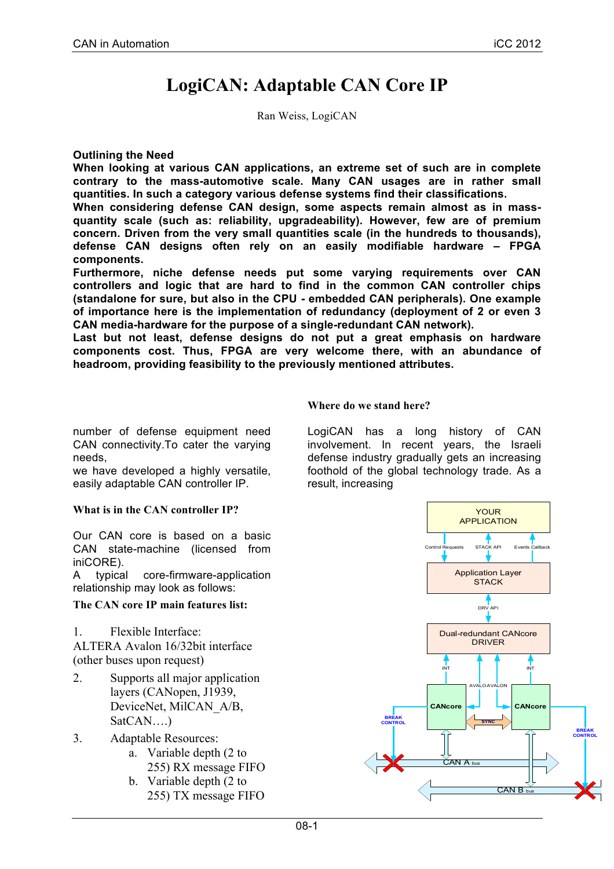# **LogiCAN: Adaptable CAN Core IP**

Ran Weiss, LogiCAN

### **Outlining the Need**

**When looking at various CAN applications, an extreme set of such are in complete contrary to the mass-automotive scale. Many CAN usages are in rather small quantities. In such a category various defense systems find their classifications.**

**When considering defense CAN design, some aspects remain almost as in massquantity scale (such as: reliability, upgradeability). However, few are of premium concern. Driven from the very small quantities scale (in the hundreds to thousands), defense CAN designs often rely on an easily modifiable hardware – FPGA components.** 

**Furthermore, niche defense needs put some varying requirements over CAN controllers and logic that are hard to find in the common CAN controller chips (standalone for sure, but also in the CPU - embedded CAN peripherals). One example of importance here is the implementation of redundancy (deployment of 2 or even 3 CAN media-hardware for the purpose of a single-redundant CAN network).**

**Last but not least, defense designs do not put a great emphasis on hardware components cost. Thus, FPGA are very welcome there, with an abundance of headroom, providing feasibility to the previously mentioned attributes.**

number of defense equipment need CAN connectivity.To cater the varying needs,

we have developed a highly versatile. easily adaptable CAN controller IP.

#### **What is in the CAN controller IP?**

Our CAN core is based on a basic CAN state-machine (licensed from iniCORE).

A typical core-firmware-application relationship may look as follows:

## **The CAN core IP main features list:**

1. Flexible Interface:

ALTERA Avalon 16/32bit interface (other buses upon request)

- 2. Supports all major application layers (CANopen, J1939, DeviceNet, MilCAN\_A/B, SatCAN….)
- 3. Adaptable Resources:
	- a. Variable depth (2 to 255) RX message FIFO
	- b. Variable depth (2 to 255) TX message FIFO



LogiCAN has a long history of CAN involvement. In recent years, the Israeli defense industry gradually gets an increasing foothold of the global technology trade. As a result, increasing

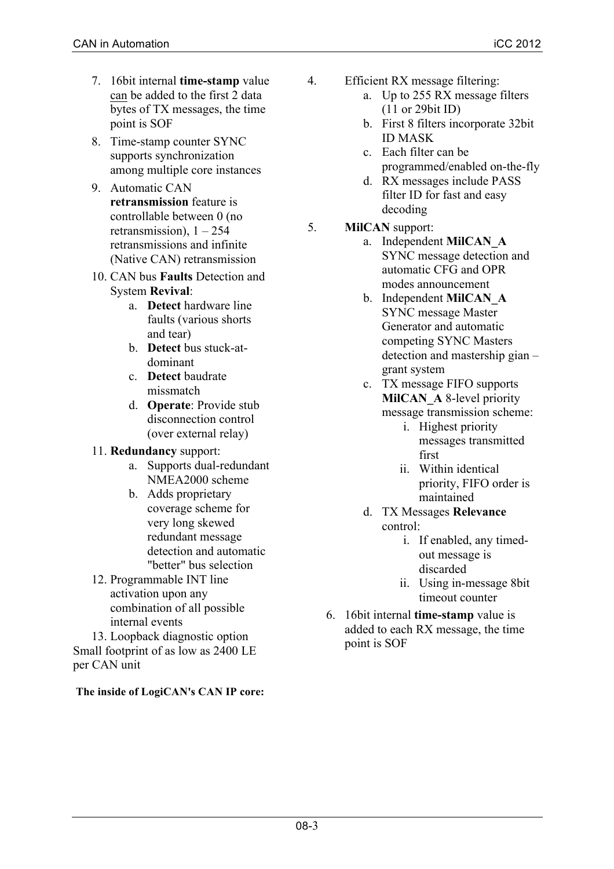- 7. 16bit internal **time-stamp** value can be added to the first 2 data bytes of TX messages, the time point is SOF
- 8. Time-stamp counter SYNC supports synchronization among multiple core instances
- 9. Automatic CAN **retransmission** feature is controllable between 0 (no retransmission),  $1 - 254$ retransmissions and infinite (Native CAN) retransmission
- 10. CAN bus **Faults** Detection and System **Revival**:
	- a. **Detect** hardware line faults (various shorts and tear)
	- b. **Detect** bus stuck-atdominant
	- c. **Detect** baudrate missmatch
	- d. **Operate**: Provide stub disconnection control (over external relay)
- 11. **Redundancy** support:
	- a. Supports dual-redundant NMEA2000 scheme
	- b. Adds proprietary coverage scheme for very long skewed redundant message detection and automatic "better" bus selection
- 12. Programmable INT line activation upon any combination of all possible internal events

13. Loopback diagnostic option Small footprint of as low as 2400 LE per CAN unit

**The inside of LogiCAN's CAN IP core:**

- 4. Efficient RX message filtering:
	- a. Up to 255 RX message filters (11 or 29bit ID)
	- b. First 8 filters incorporate 32bit ID MASK
	- c. Each filter can be programmed/enabled on-the-fly
	- d. RX messages include PASS filter ID for fast and easy decoding
- 5. **MilCAN** support:
	- a. Independent **MilCAN\_A** SYNC message detection and automatic CFG and OPR modes announcement
	- b. Independent **MilCAN\_A** SYNC message Master Generator and automatic competing SYNC Masters detection and mastership gian – grant system
	- c. TX message FIFO supports **MilCAN\_A** 8-level priority message transmission scheme:
		- i. Highest priority messages transmitted first
		- ii. Within identical priority, FIFO order is maintained
	- d. TX Messages **Relevance** control:
		- i. If enabled, any timedout message is discarded
		- ii. Using in-message 8bit timeout counter
	- 6. 16bit internal **time-stamp** value is added to each RX message, the time point is SOF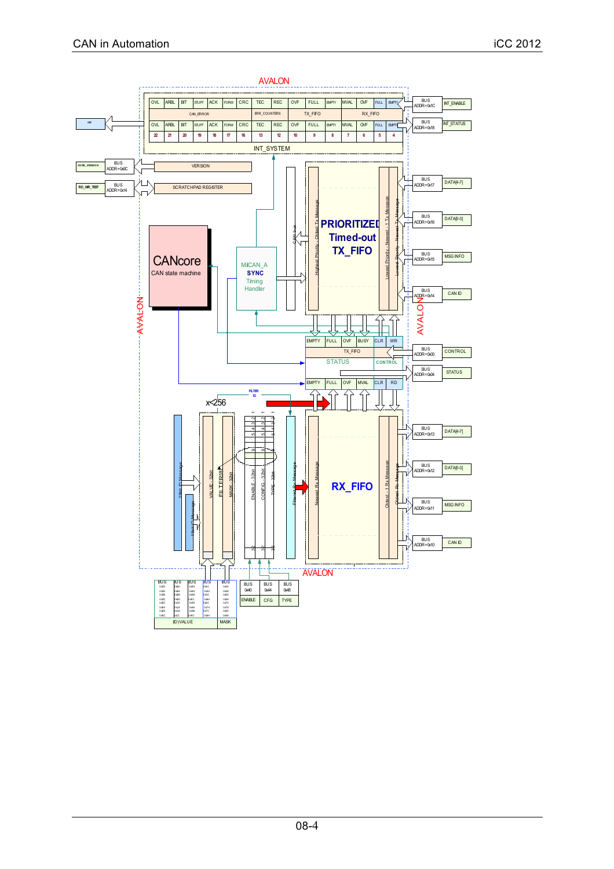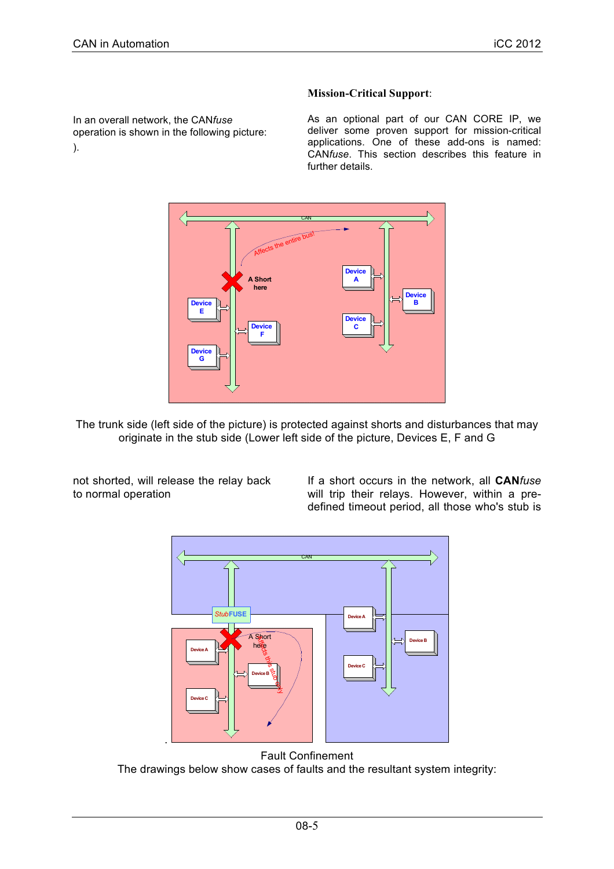#### **Mission-Critical Support**:

In an overall network, the CAN*fuse* operation is shown in the following picture: ).

As an optional part of our CAN CORE IP, we deliver some proven support for mission-critical applications. One of these add-ons is named: CAN*fuse*. This section describes this feature in further details.



The trunk side (left side of the picture) is protected against shorts and disturbances that may originate in the stub side (Lower left side of the picture, Devices E, F and G

not shorted, will release the relay back to normal operation

If a short occurs in the network, all **CAN***fuse* will trip their relays. However, within a predefined timeout period, all those who's stub is



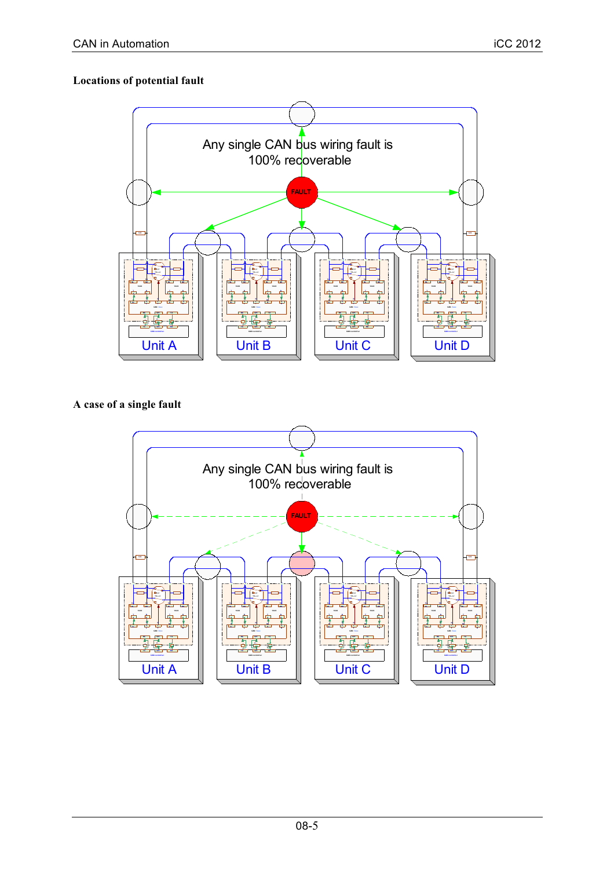## **Locations of potential fault**



**A case of a single fault**